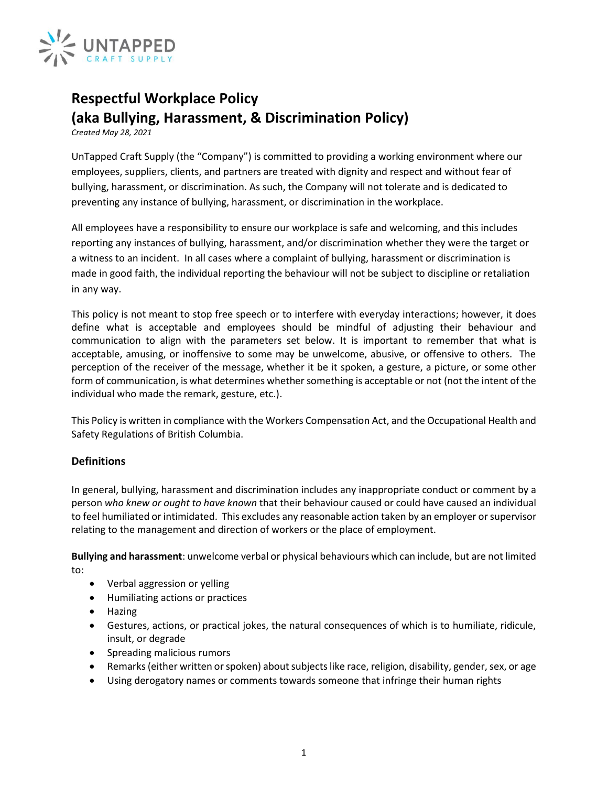

# **Respectful Workplace Policy (aka Bullying, Harassment, & Discrimination Policy)**

*Created May 28, 2021*

UnTapped Craft Supply (the "Company") is committed to providing a working environment where our employees, suppliers, clients, and partners are treated with dignity and respect and without fear of bullying, harassment, or discrimination. As such, the Company will not tolerate and is dedicated to preventing any instance of bullying, harassment, or discrimination in the workplace.

All employees have a responsibility to ensure our workplace is safe and welcoming, and this includes reporting any instances of bullying, harassment, and/or discrimination whether they were the target or a witness to an incident. In all cases where a complaint of bullying, harassment or discrimination is made in good faith, the individual reporting the behaviour will not be subject to discipline or retaliation in any way.

This policy is not meant to stop free speech or to interfere with everyday interactions; however, it does define what is acceptable and employees should be mindful of adjusting their behaviour and communication to align with the parameters set below. It is important to remember that what is acceptable, amusing, or inoffensive to some may be unwelcome, abusive, or offensive to others. The perception of the receiver of the message, whether it be it spoken, a gesture, a picture, or some other form of communication, is what determines whether something is acceptable or not (not the intent of the individual who made the remark, gesture, etc.).

This Policy is written in compliance with th[e Workers Compensation Act, and the Occupational Health and](http://www.bclaws.ca/EPLibraries/bclaws_new/document/ID/freeside/296_97_00)  [Safety Regulations](http://www.bclaws.ca/EPLibraries/bclaws_new/document/ID/freeside/296_97_00) of British Columbia.

# **Definitions**

In general, bullying, harassment and discrimination includes any inappropriate conduct or comment by a person *who knew or ought to have known* that their behaviour caused or could have caused an individual to feel humiliated or intimidated. This excludes any reasonable action taken by an employer or supervisor relating to the management and direction of workers or the place of employment.

**Bullying and harassment**: unwelcome verbal or physical behaviours which can include, but are not limited to:

- Verbal aggression or yelling
- Humiliating actions or practices
- Hazing
- Gestures, actions, or practical jokes, the natural consequences of which is to humiliate, ridicule, insult, or degrade
- Spreading malicious rumors
- Remarks (either written or spoken) about subjects like race, religion, disability, gender, sex, or age
- Using derogatory names or comments towards someone that infringe their human rights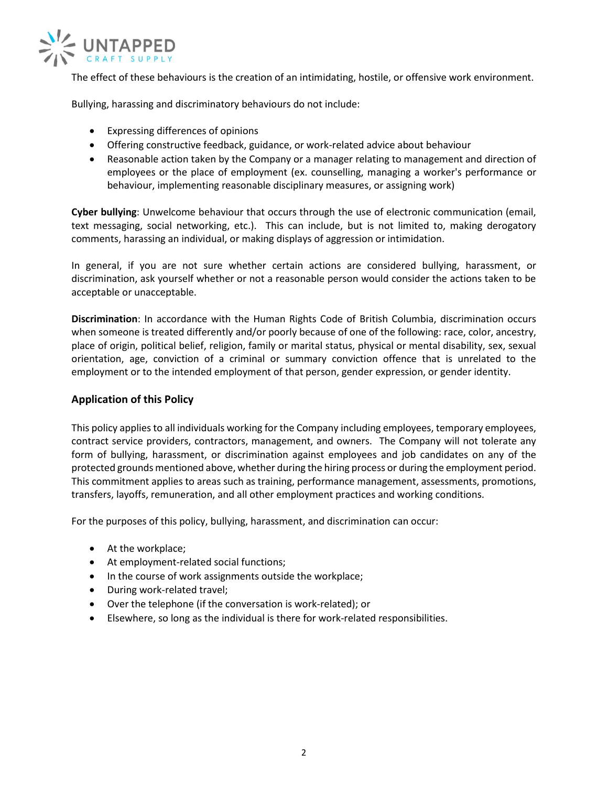

The effect of these behaviours is the creation of an intimidating, hostile, or offensive work environment.

Bullying, harassing and discriminatory behaviours do not include:

- Expressing differences of opinions
- Offering constructive feedback, guidance, or work-related advice about behaviour
- Reasonable action taken by the Company or a manager relating to management and direction of employees or the place of employment (ex. counselling, managing a worker's performance or behaviour, implementing reasonable disciplinary measures, or assigning work)

**Cyber bullying**: Unwelcome behaviour that occurs through the use of electronic communication (email, text messaging, social networking, etc.). This can include, but is not limited to, making derogatory comments, harassing an individual, or making displays of aggression or intimidation.

In general, if you are not sure whether certain actions are considered bullying, harassment, or discrimination, ask yourself whether or not a reasonable person would consider the actions taken to be acceptable or unacceptable.

**Discrimination**: In accordance with the [Human Rights Code of British Columbia,](http://www.bclaws.ca/EPLibraries/bclaws_new/document/ID/freeside/00_96210_01) discrimination occurs when someone is treated differently and/or poorly because of one of the following: race, color, ancestry, place of origin, political belief, religion, family or marital status, physical or mental disability, sex, sexual orientation, age, conviction of a criminal or summary conviction offence that is unrelated to the employment or to the intended employment of that person, gender expression, or gender identity.

# **Application of this Policy**

This policy applies to all individuals working for the Company including employees, temporary employees, contract service providers, contractors, management, and owners. The Company will not tolerate any form of bullying, harassment, or discrimination against employees and job candidates on any of the protected grounds mentioned above, whether during the hiring process or during the employment period. This commitment applies to areas such as training, performance management, assessments, promotions, transfers, layoffs, remuneration, and all other employment practices and working conditions.

For the purposes of this policy, bullying, harassment, and discrimination can occur:

- At the workplace;
- At employment-related social functions;
- In the course of work assignments outside the workplace;
- During work-related travel;
- Over the telephone (if the conversation is work-related); or
- Elsewhere, so long as the individual is there for work-related responsibilities.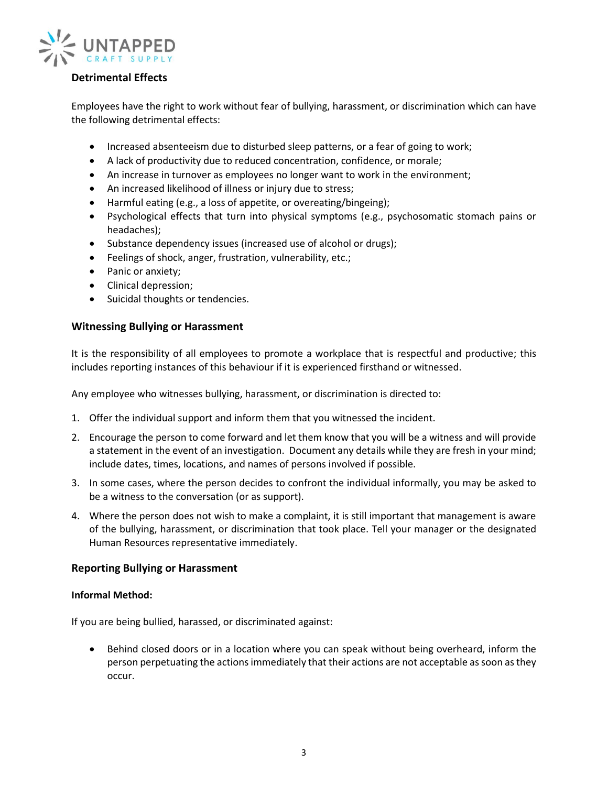

# **Detrimental Effects**

Employees have the right to work without fear of bullying, harassment, or discrimination which can have the following detrimental effects:

- Increased absenteeism due to disturbed sleep patterns, or a fear of going to work;
- A lack of productivity due to reduced concentration, confidence, or morale;
- An increase in turnover as employees no longer want to work in the environment;
- An increased likelihood of illness or injury due to stress;
- Harmful eating (e.g., a loss of appetite, or overeating/bingeing);
- Psychological effects that turn into physical symptoms (e.g., psychosomatic stomach pains or headaches);
- Substance dependency issues (increased use of alcohol or drugs);
- Feelings of shock, anger, frustration, vulnerability, etc.;
- Panic or anxiety;
- Clinical depression;
- Suicidal thoughts or tendencies.

#### **Witnessing Bullying or Harassment**

It is the responsibility of all employees to promote a workplace that is respectful and productive; this includes reporting instances of this behaviour if it is experienced firsthand or witnessed.

Any employee who witnesses bullying, harassment, or discrimination is directed to:

- 1. Offer the individual support and inform them that you witnessed the incident.
- 2. Encourage the person to come forward and let them know that you will be a witness and will provide a statement in the event of an investigation. Document any details while they are fresh in your mind; include dates, times, locations, and names of persons involved if possible.
- 3. In some cases, where the person decides to confront the individual informally, you may be asked to be a witness to the conversation (or as support).
- 4. Where the person does not wish to make a complaint, it is still important that management is aware of the bullying, harassment, or discrimination that took place. Tell your manager or the designated Human Resources representative immediately.

#### **Reporting Bullying or Harassment**

#### **Informal Method:**

If you are being bullied, harassed, or discriminated against:

• Behind closed doors or in a location where you can speak without being overheard, inform the person perpetuating the actions immediately that their actions are not acceptable as soon as they occur.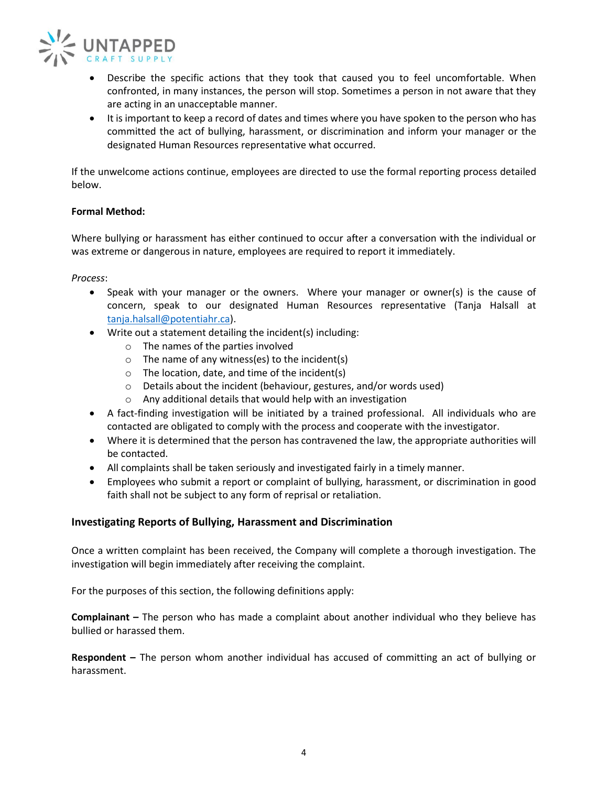

- Describe the specific actions that they took that caused you to feel uncomfortable. When confronted, in many instances, the person will stop. Sometimes a person in not aware that they are acting in an unacceptable manner.
- It is important to keep a record of dates and times where you have spoken to the person who has committed the act of bullying, harassment, or discrimination and inform your manager or the designated Human Resources representative what occurred.

If the unwelcome actions continue, employees are directed to use the formal reporting process detailed below.

#### **Formal Method:**

Where bullying or harassment has either continued to occur after a conversation with the individual or was extreme or dangerous in nature, employees are required to report it immediately.

*Process*:

- Speak with your manager or the owners. Where your manager or owner(s) is the cause of concern, speak to our designated Human Resources representative (Tanja Halsall at [tanja.halsall@potentiahr.ca\)](mailto:tanja.halsall@potentiahr.ca).
- Write out a statement detailing the incident(s) including:
	- o The names of the parties involved
	- $\circ$  The name of any witness(es) to the incident(s)
	- $\circ$  The location, date, and time of the incident(s)
	- o Details about the incident (behaviour, gestures, and/or words used)
	- o Any additional details that would help with an investigation
- A fact-finding investigation will be initiated by a trained professional. All individuals who are contacted are obligated to comply with the process and cooperate with the investigator.
- Where it is determined that the person has contravened the law, the appropriate authorities will be contacted.
- All complaints shall be taken seriously and investigated fairly in a timely manner.
- Employees who submit a report or complaint of bullying, harassment, or discrimination in good faith shall not be subject to any form of reprisal or retaliation.

#### **Investigating Reports of Bullying, Harassment and Discrimination**

Once a written complaint has been received, the Company will complete a thorough investigation. The investigation will begin immediately after receiving the complaint.

For the purposes of this section, the following definitions apply:

**Complainant –** The person who has made a complaint about another individual who they believe has bullied or harassed them.

**Respondent –** The person whom another individual has accused of committing an act of bullying or harassment.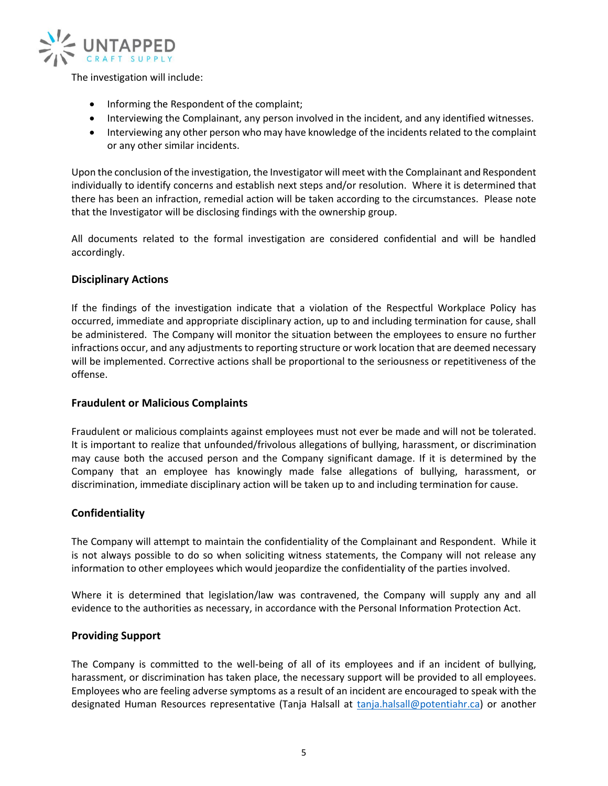

The investigation will include:

- Informing the Respondent of the complaint;
- Interviewing the Complainant, any person involved in the incident, and any identified witnesses.
- Interviewing any other person who may have knowledge of the incidents related to the complaint or any other similar incidents.

Upon the conclusion of the investigation, the Investigator will meet with the Complainant and Respondent individually to identify concerns and establish next steps and/or resolution. Where it is determined that there has been an infraction, remedial action will be taken according to the circumstances. Please note that the Investigator will be disclosing findings with the ownership group.

All documents related to the formal investigation are considered confidential and will be handled accordingly.

#### **Disciplinary Actions**

If the findings of the investigation indicate that a violation of the Respectful Workplace Policy has occurred, immediate and appropriate disciplinary action, up to and including termination for cause, shall be administered. The Company will monitor the situation between the employees to ensure no further infractions occur, and any adjustments to reporting structure or work location that are deemed necessary will be implemented. Corrective actions shall be proportional to the seriousness or repetitiveness of the offense.

#### **Fraudulent or Malicious Complaints**

Fraudulent or malicious complaints against employees must not ever be made and will not be tolerated. It is important to realize that unfounded/frivolous allegations of bullying, harassment, or discrimination may cause both the accused person and the Company significant damage. If it is determined by the Company that an employee has knowingly made false allegations of bullying, harassment, or discrimination, immediate disciplinary action will be taken up to and including termination for cause.

# **Confidentiality**

The Company will attempt to maintain the confidentiality of the Complainant and Respondent. While it is not always possible to do so when soliciting witness statements, the Company will not release any information to other employees which would jeopardize the confidentiality of the parties involved.

Where it is determined that legislation/law was contravened, the Company will supply any and all evidence to the authorities as necessary, in accordance with the Personal Information Protection Act.

#### **Providing Support**

The Company is committed to the well-being of all of its employees and if an incident of bullying, harassment, or discrimination has taken place, the necessary support will be provided to all employees. Employees who are feeling adverse symptoms as a result of an incident are encouraged to speak with the designated Human Resources representative (Tanja Halsall at [tanja.halsall@potentiahr.ca\)](mailto:tanja.halsall@potentiahr.ca) or another